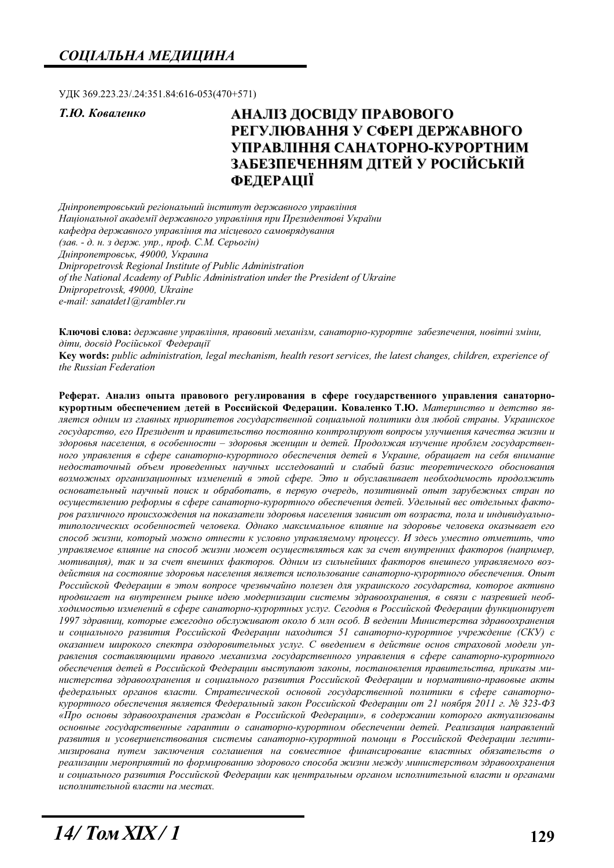ɍȾɄ 369.223.23/.24:351.84:616-053(470+571)

# *<sup>Ɍ</sup>.ɘ. Ʉɨɜɚɥɟɧɤɨ* **ȺɇȺɅȱɁ ȾɈɋȼȱȾɍ ɉɊȺȼɈȼɈȽɈ РЕГУЛЮВАННЯ У СФЕРІ ЛЕРЖАВНОГО** УПРАВЛІННЯ САНАТОРНО-КУРОРТНИМ **ɁȺȻȿɁɉȿɑȿɇɇəɆ ȾȱɌȿɃ ɍ ɊɈɋȱɃɋɖɄȱɃ ФЕДЕРАЦІЇ**

Дніпропетровський регіональний інститут державного управління Національної академії державного управління при Президентові України кафедра державного управління та місцевого самоврядування (зав. - д. н. з держ. упр., проф. С.М. Серьогін)  $J$ ніпропетровськ, 49000, Украина *Dnipropetrovsk Regional Institute of Public Administration of the National Academy of Public Administration under the President of Ukraine Dnipropetrovsk, 49000, Ukraine e-mail: sanatdet1@rambler.ru* 

Ключові слова: державне управління, правовий механізм, санаторно-курортне забезпечення, новітні зміни,  $\delta$ *imu*, досвід Російської Федерації **Key words:** *public administration, legal mechanism, health resort services, the latest changes, children, experience of the Russian Federation* 

Реферат. Анализ опыта правового регулирования в сфере государственного управления санаторнокурортным обеспечением детей в Российской Федерации. Коваленко Т.Ю. Материнство и детство является одним из главных приоритетов государственной социальной политики для любой страны. Украинское  $20$ *сударство, его Президент и правительство постоянно контролируют вопросы улучшения качества жизни и* здоровья населения, в особенности - здоровья женщин и детей. Продолжая изучение проблем государственного управления в сфере санаторно-курортного обеспечения детей в Украине, обращает на себя внимание недостаточный объем проведенных научных исследований и слабый базис теоретического обоснования возможных организационных изменений в этой сфере. Это и обуславливает необходимость продолжить  $o$ сновательный научный поиск и обработать, в первую очередь, позитивный опыт зарубежных стран по *ɨɫɭɳɟɫɬɜɥɟɧɢɸ ɪɟɮɨɪɦɵ ɜ ɫɮɟɪɟ ɫɚɧɚɬɨɪɧɨ-ɤɭɪɨɪɬɧɨɝɨ ɨɛɟɫɩɟɱɟɧɢɹ ɞɟɬɟɣ. ɍɞɟɥɶɧɵɣ ɜɟɫ ɨɬɞɟɥɶɧɵɯ ɮɚɤɬɨ*ров различного происхождения на показатели здоровья населения зависит от возраста, пола и индивидуальнотипологических особенностей человека. Однако максимальное влияние на здоровье человека оказывает его способ жизни, который можно отнести к условно управляемому процессу. И здесь уместно отметить, что управляемое влияние на способ жизни может осушествляться как за счет внутренних факторов (например, мотивация), так и за счет внешних факторов. Одним из сильнейших факторов внешнего управляемого воздействия на состояние здоровья населения является использование санаторно-курортного обеспечения. Опыт Российской Федерации в этом вопросе чрезвычайно полезен для украинского государства, которое активно продвигает на внутреннем рынке идею модернизации системы здравоохранения, в связи с назревшей необ*ходимостью изменений в сфере санаторно-курортных услуг. Сегодня в Российской Федерации функционирует* **1997 здравниц, которые ежегодно обслуживают около 6 млн особ. В ведении Министерства здравоохранения**  $u$  социального развития Российской Федерации находится 51 санаторно-курортное учреждение (СКУ) с  $\alpha$ **казанием широкого спектра оздоровительных услуг. С введением в действие основ страховой модели уп**равления составляющими правого механизма государственного управления в сфере санаторно-курортного *ɨɛɟɫɩɟɱɟɧɢɹ ɞɟɬɟɣ ɜ Ɋɨɫɫɢɣɫɤɨɣ Ɏɟɞɟɪɚɰɢɢ ɜɵɫɬɭɩɚɸɬ ɡɚɤɨɧɵ, ɩɨɫɬɚɧɨɜɥɟɧɢɹ ɩɪɚɜɢɬɟɥɶɫɬɜɚ, ɩɪɢɤɚɡɵ ɦɢ*нистерства здравоохранения и социального развития Российской Федерации и нормативно-правовые акты федеральных органов власти. Стратегической основой государственной политики в сфере санаторно*ɤɭɪɨɪɬɧɨɝɨ ɨɛɟɫɩɟɱɟɧɢɹ ɹɜɥɹɟɬɫɹ Ɏɟɞɟɪɚɥɶɧɵɣ ɡɚɤɨɧ Ɋɨɫɫɢɣɫɤɨɣ Ɏɟɞɟɪɚɰɢɢ ɨɬ 21 ɧɨɹɛɪɹ 2011 ɝ. ʋ 323-ɎɁ* «Про основы здравоохранения граждан в Российской Федерации», в содержании которого актуализованы *основные государственные гарантии о санаторно-курортном обеспечении детей. Реализация направлений* развития и усовершенствования системы санаторно-курортной помощи в Российской Федерации легитимизирована путем заключения соглашения на совместное финансирование властных обязательств о реализации мероприятий по формированию здорового способа жизни между министерством здравоохранения и социального развития Российской Федерации как центральным органом исполнительной власти и органами исполнительной власти на местах.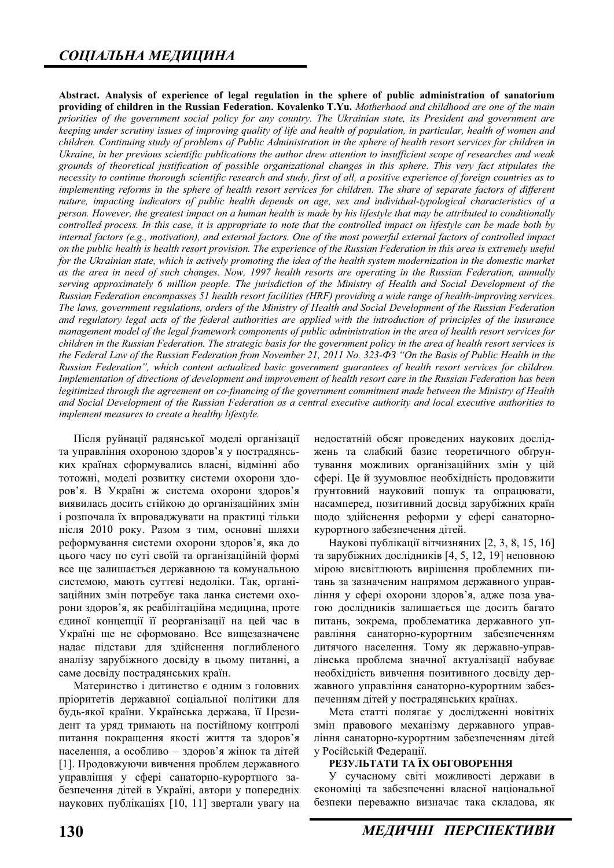**Abstract. Analysis of experience of legal regulation in the sphere of public administration of sanatorium providing of children in the Russian Federation. Kovalenko T.Yu.** *Motherhood and childhood are one of the main priorities of the government social policy for any country. The Ukrainian state, its President and government are keeping under scrutiny issues of improving quality of life and health of population, in particular, health of women and children. Continuing study of problems of Public Administration in the sphere of health resort services for children in Ukraine, in her previous scientific publications the author drew attention to insufficient scope of researches and weak grounds of theoretical justification of possible organizational changes in this sphere. This very fact stipulates the necessity to continue thorough scientific research and study, first of all, a positive experience of foreign countries as to implementing reforms in the sphere of health resort services for children. The share of separate factors of different nature, impacting indicators of public health depends on age, sex and individual-typological characteristics of a person. However, the greatest impact on a human health is made by his lifestyle that may be attributed to conditionally controlled process. In this case, it is appropriate to note that the controlled impact on lifestyle can be made both by internal factors (e.g., motivation), and external factors. One of the most powerful external factors of controlled impact on the public health is health resort provision. The experience of the Russian Federation in this area is extremely useful for the Ukrainian state, which is actively promoting the idea of the health system modernization in the domestic market as the area in need of such changes. Now, 1997 health resorts are operating in the Russian Federation, annually serving approximately 6 million people. The jurisdiction of the Ministry of Health and Social Development of the Russian Federation encompasses 51 health resort facilities (HRF) providing a wide range of health-improving services. The laws, government regulations, orders of the Ministry of Health and Social Development of the Russian Federation and regulatory legal acts of the federal authorities are applied with the introduction of principles of the insurance management model of the legal framework components of public administration in the area of health resort services for children in the Russian Federation. The strategic basis for the government policy in the area of health resort services is the Federal Law of the Russian Federation from November 21, 2011 No. 323-* $\Phi$ *3 "On the Basis of Public Health in the Russian Federation", which content actualized basic government guarantees of health resort services for children. Implementation of directions of development and improvement of health resort care in the Russian Federation has been legitimized through the agreement on co-financing of the government commitment made between the Ministry of Health and Social Development of the Russian Federation as a central executive authority and local executive authorities to implement measures to create a healthy lifestyle.* 

Після руйнації радянської моделі організації та управління охороною здоров'я у пострадянських країнах сформувались власні, відмінні або тотожні, моделі розвитку системи охорони здоров'я. В Україні ж система охорони здоров'я виявилась досить стійкою до організаційних змін i розпочала їх впроваджувати на практиці тільки після 2010 року. Разом з тим, основні шляхи реформування системи охорони здоров'я, яка до цього часу по суті своїй та організаційній формі все ще залишається державною та комунальною системою, мають суттєві недоліки. Так, організаційних змін потребує така ланка системи охорони здоров'я, як реабілітаційна медицина, проте єдиної концепції її реорганізації на цей час в Україні ще не сформовано. Все вищезазначене надає підстави для здійснення поглибленого аналізу зарубіжного досвіду в цьому питанні, а саме досвіду пострадянських країн.

Материнство і дитинство є одним з головних пріоритетів державної соціальної політики для будь-якої країни. Українська держава, її Президент та уряд тримають на постійному контролі питання покращення якості життя та здоров'я населення, а особливо – здоров'я жінок та дітей [1]. Продовжуючи вивчення проблем державного управління у сфері санаторно-курортного забезпечення дітей в Україні, автори у попередніх наукових публікаціях [10, 11] звертали увагу на недостатній обсяг проведених наукових досліджень та слабкий базис теоретичного обгрунтування можливих організаційних змін у цій сфері. Це й зуумовлює необхідність продовжити грунтовний науковий пошук та опрацювати, насамперед, позитивний досвід зарубіжних країн щодо здійснення реформи у сфері санаторнокурортного забезпечення дітей.

Наукові публікації вітчизняних [2, 3, 8, 15, 16] та зарубіжних дослідників [4, 5, 12, 19] неповною мірою висвітлюють вирішення проблемних питань за зазначеним напрямом державного управління у сфері охорони здоров'я, адже поза увагою дослідників залишається ще досить багато питань, зокрема, проблематика державного управління санаторно-курортним забезпеченням дитячого населення. Тому як державно-управлінська проблема значної актуалізації набуває необхідність вивчення позитивного досвіду державного управління санаторно-курортним забезпеченням дітей у пострадянських країнах.

Мета статті полягає у дослідженні новітніх змін правового механізму державного управління санаторно-курортним забезпеченням дітей у Російській Фелерації.

### РЕЗУЛЬТАТИ ТА ЇХ ОБГОВОРЕННЯ

У сучасному світі можливості держави в економіці та забезпеченні власної національної безпеки переважно визначає така складова, як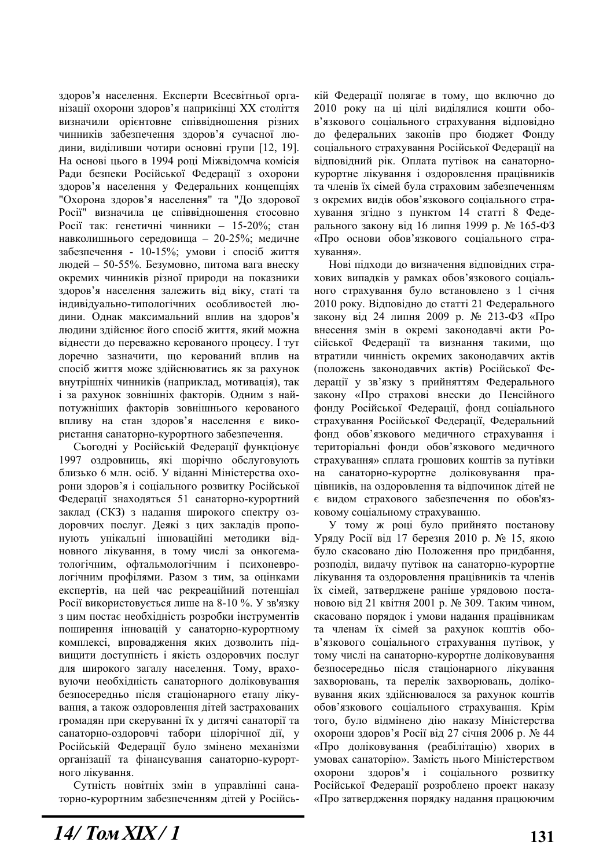здоров'я населення. Експерти Всесвітньої організації охорони здоров'я наприкінці XX століття визначили орієнтовне співвідношення різних чинників забезпечення здоров'я сучасної людини, виділивши чотири основні групи [12, 19]. На основі цього в 1994 році Міжвідомча комісія Ради безпеки Російської Федерації з охорони здоров'я населення у Федеральних концепціях "Охорона здоров'я населення" та "До здорової Росії" визначила це співвідношення стосовно Pосії так: генетичні чинники – 15-20%; стан навколишнього середовища – 20-25%; медичне забезпечення - 10-15%; умови і спосіб життя людей – 50-55%. Безумовно, питома вага внеску окремих чинників різної природи на показники здоров'я населення залежить від віку, статі та індивідуально-типологічних особливостей людини. Однак максимальний вплив на здоров'я людини здійснює його спосіб життя, який можна віднести до переважно керованого процесу. І тут доречно зазначити, що керований вплив на спосіб життя може здійснюватись як за рахунок внутрішніх чинників (наприклад, мотивація), так і за рахунок зовнішніх факторів. Одним з найпотужніших факторів зовнішнього керованого впливу на стан здоров'я населення є використання санаторно-курортного забезпечення.

Сьогодні у Російській Федерації функціонує 1997 оздровниць, які щорічно обслуговують близько 6 млн. осіб. У віданні Міністерства охорони здоров'я і соціального розвитку Російської Федерації знаходяться 51 санаторно-курортний заклад (СКЗ) з надання широкого спектру оздоровчих послуг. Деякі з цих закладів пропонують унікальні інноваційні методики відновного лікування, в тому числі за онкогематологічним, офтальмологічним і психоневрологічним профілями. Разом з тим, за оцінками експертів, на цей час рекреаційний потенціал Росії використовується лише на 8-10 %. У зв'язку з цим постає необхідність розробки інструментів поширення інновацій у санаторно-курортному комплексі, впровадження яких дозволить підвищити доступність і якість оздоровчих послуг для широкого загалу населення. Тому, враховуючи необхідність санаторного доліковування безпосередньо після стаціонарного етапу лікування, а також оздоровлення дітей застрахованих громадян при скеруванні їх у дитячі санаторії та санаторно-оздоровчі табори цілорічної дії, у Російській Федерації було змінено механізми організації та фінансування санаторно-курортного лікування.

Сутність новітніх змін в управлінні санаторно-курортним забезпеченням дітей у Російській Федерації полягає в тому, що включно до 2010 року на ці цілі виділялися кошти обов'язкового соціального страхування відповідно до федеральних законів про бюджет Фонду соціального страхування Російської Федерації на відповідний рік. Оплата путівок на санаторнокурортне лікування і оздоровлення працівників та членів їх сімей була страховим забезпеченням з окремих видів обов'язкового соціального страхування згідно з пунктом 14 статті 8 Федерального закону від 16 липня 1999 р. № 165-ФЗ «Про основи обов'язкового соціального страxvвання».

Нові підходи до визначення відповідних страхових випадків у рамках обов'язкового соціального страхування було встановлено з 1 січня 2010 року. Відповідно до статті 21 Федерального закону від 24 липня 2009 р. № 213-ФЗ «Про внесення змін в окремі законодавчі акти Російської Федерації та визнання такими, що втратили чинність окремих законодавчих актів (положень законодавчих актів) Російської Федерації у зв'язку з прийняттям Федерального закону «Про страхові внески до Пенсійного фонду Російської Федерації, фонд соціального страхування Російської Федерації, Федеральний фонд обов'язкового медичного страхування і територіальні фонди обов'язкового медичного страхування» сплата грошових коштів за путівки на санаторно-курортне доліковування працівників, на оздоровлення та відпочинок дітей не є видом страхового забезпечення по обов'язковому соціальному страхуванню.

У тому ж році було прийнято постанову Уряду Росії від 17 березня 2010 р. № 15, якою було скасовано дію Положення про придбання, розподіл, видачу путівок на санаторно-курортне лікування та оздоровлення працівників та членів їх сімей, затверджене раніше урядовою постановою від 21 квітня 2001 р. № 309. Таким чином, скасовано порядок і умови надання працівникам та членам їх сімей за рахунок коштів обов'язкового соціального страхування путівок, у тому числі на санаторно-курортне доліковування безпосередньо після стаціонарного лікування захворювань, та перелік захворювань, доліковування яких здійснювалося за рахунок коштів обов'язкового соціального страхування. Крім того, було відмінено дію наказу Міністерства охорони здоров'я Росії від 27 січня 2006 р. № 44 «Про доліковування (реабілітацію) хворих в умовах санаторію». Замість нього Міністерством охорони здоров'я і соціального розвитку Російської Федерації розроблено проект наказу «Про затвердження порядку надання працюючим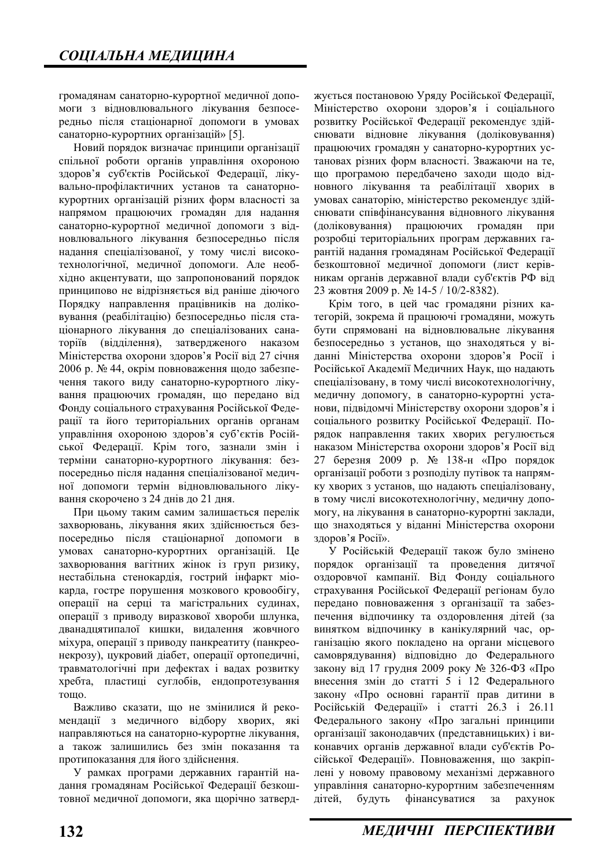громадянам санаторно-курортної медичної допомоги з відновлювального лікування безпосередньо після стаціонарної допомоги в умовах санаторно-курортних організацій» [5].

Новий порядок визначає принципи організації спільної роботи органів управління охороною здоров'я суб'єктів Російської Федерації, лікувально-профілактичних установ та санаторнокурортних організацій різних форм власності за напрямом працюючих громадян для надання санаторно-курортної медичної допомоги з відновлювального лікування безпосередньо після надання спеціалізованої, у тому числі високотехнологічної, медичної допомоги. Але необхідно акцентувати, що запропонований порядок принципово не відрізняється від раніше діючого Порядку направлення працівників на доліковування (реабілітацію) безпосередньо після стаціонарного лікування до спеціалізованих санаторіїв (відділення), затвердженого наказом Міністерства охорони здоров'я Росії від 27 січня 2006 р. № 44, окрім повноваження щодо забезпечення такого виду санаторно-курортного лікування працюючих громадян, що передано від Фонду соціального страхування Російської Федерації та його територіальних органів органам управління охороною здоров'я суб'єктів Російської Федерації. Крім того, зазнали змін і терміни санаторно-курортного лікування: безпосередньо після надання спеціалізованої медичної допомоги термін відновлювального лікування скорочено з 24 днів до 21 дня.

При цьому таким самим залишається перелік захворювань, лікування яких здійснюється безпосередньо після стаціонарної допомоги в умовах санаторно-курортних організацій. Це захворювання вагітних жінок із груп ризику, нестабільна стенокардія, гострий інфаркт міокарда, гостре порушення мозкового кровообігу, операції на серці та магістральних судинах, операції з приводу виразкової хвороби шлунка, дванадцятипалої кишки, видалення жовчного міхура, операції з приводу панкреатиту (панкреонекрозу), цукровий діабет, операції ортопедичні, травматологічні при дефектах і вадах розвитку хребта, пластиці суглобів, ендопротезування тощо.

Важливо сказати, що не змінилися й рекомендації з медичного відбору хворих, які направляються на санаторно-курортне лікування, а також залишились без змін показання та протипоказання для його здійснення.

У рамках програми державних гарантій надання громадянам Російської Федерації безкоштовної медичної допомоги, яка щорічно затверджується постановою Уряду Російської Федерації, Міністерство охорони здоров'я і соціального розвитку Російської Федерації рекомендує здійснювати відновне лікування (доліковування) працюючих громадян у санаторно-курортних установах різних форм власності. Зважаючи на те, що програмою передбачено заходи щодо відновного лікування та реабілітації хворих в умовах санаторію, міністерство рекомендує здійснювати співфінансування відновного лікування (доліковування) працюючих громадян при розробці територіальних програм державних гарантій надання громадянам Російської Федерації безкоштовної медичної допомоги (лист керівникам органів державної влади суб'єктів РФ від 23 жовтня 2009 p. № 14-5 / 10/2-8382).

Крім того, в цей час громадяни різних категорій, зокрема й працюючі громадяни, можуть бути спрямовані на відновлювальне лікування безпосередньо з установ, що знаходяться у віданні Міністерства охорони здоров'я Росії і Російської Академії Медичних Наук, що надають спеціалізовану, в тому числі високотехнологічну, медичну допомогу, в санаторно-курортні установи, підвідомчі Міністерству охорони здоров'я і соціального розвитку Російської Федерації. Порядок направлення таких хворих регулюється наказом Міністерства охорони здоров'я Росії від 27 березня 2009 р.  $\mathbb{N}$ <sup>o</sup> 138-н «Про порядок організації роботи з розподілу путівок та напрямку хворих з установ, що надають спеціалізовану, в тому числі високотехнологічну, медичну допомогу, на лікування в санаторно-курортні заклади, що знаходяться у віданні Міністерства охорони здоров'я Росії».

У Російській Федерації також було змінено порядок організації та проведення дитячої оздоровчої кампанії. Від Фонду соціального страхування Російської Федерації регіонам було передано повноваження з організації та забезпечення відпочинку та оздоровлення дітей (за винятком відпочинку в канікулярний час, організацію якого покладено на органи місцевого самоврядування) відповідно до Федерального закону від 17 грудня 2009 року № 326-ФЗ «Про внесення змін до статті 5 і 12 Федерального закону «Про основні гарантії прав дитини в Pосійській Федерації» і статті 26.3 і 26.11 Федерального закону «Про загальні принципи організації законодавчих (представницьких) і виконавчих органів державної влади суб'єктів Російської Федерації». Повноваження, що закріплені у новому правовому механізмі державного управління санаторно-курортним забезпеченням дітей, будуть фінансуватися за рахунок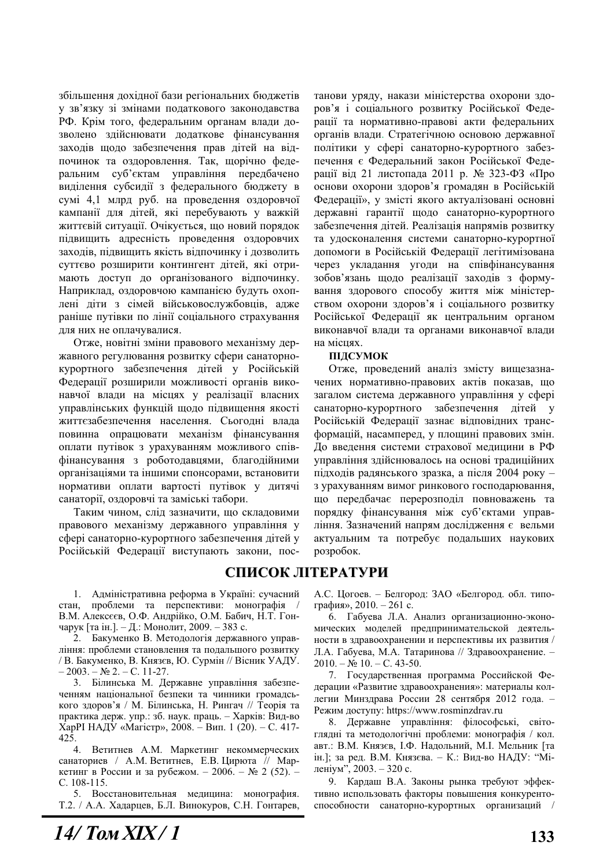збільшення дохідної бази регіональних бюджетів у зв'язку зі змінами податкового законодавства РФ. Крім того, федеральним органам влади дозволено здійснювати додаткове фінансування заходів щодо забезпечення прав дітей на відпочинок та оздоровлення. Так, щорічно федеральним суб'єктам управління передбачено виділення субсидії з федерального бюджету в сумі 4,1 млрд руб. на проведення оздоровчої кампанії для дітей, які перебувають у важкій життєвій ситуації. Очікується, що новий порядок підвищить адресність проведення оздоровчих заходів, підвищить якість відпочинку і дозволить суттєво розширити контингент дітей, які отримають доступ до організованого відпочинку. Наприклад, оздоровчою кампанією будуть охоплені діти з сімей військовослужбовців, адже раніше путівки по лінії соціального страхування для них не оплачувалися.

Отже, новітні зміни правового механізму державного регулювання розвитку сфери санаторнокурортного забезпечення дітей у Російській Федерації розширили можливості органів виконавчої влади на місцях у реалізації власних управлінських функцій щодо підвищення якості життєзабезпечення населення. Сьогодні влада повинна опрацювати механізм фінансування оплати путівок з урахуванням можливого співфінансування з роботодавцями, благодійними організаціями та іншими спонсорами, встановити нормативи оплати вартості путівок у дитячі санаторії, оздоровчі та заміські табори.

Таким чином, слід зазначити, що складовими правового механізму державного управління у сфері санаторно-курортного забезпечення дітей у Російській Федерації виступають закони, постанови уряду, накази міністерства охорони здоров'я і соціального розвитку Російської Федерації та нормативно-правові акти федеральних органів влади. Стратегічною основою державної політики у сфері санаторно-курортного забезпечення є Федеральний закон Російської Федерації від 21 листопада 2011 р. № 323-ФЗ «Про основи охорони здоров'я громадян в Російській Федерації», у змісті якого актуалізовані основні державні гарантії щодо санаторно-курортного забезпечення дітей. Реалізація напрямів розвитку та удосконалення системи санаторно-курортної допомоги в Російській Федерації легітимізована через укладання угоди на співфінансування зобов'язань щодо реалізації заходів з формування здорового способу життя між міністерством охорони здоров'я і соціального розвитку Російської Федерації як центральним органом виконавчої влади та органами виконавчої влади на місцях.

#### ПІЛСУМОК

Отже, проведений аналіз змісту вищезазначених нормативно-правових актів показав, що загалом система державного управління у сфері санаторно-курортного забезпечення дітей у Російській Федерації зазнає відповідних трансформацій, насамперед, у площині правових змін. До введення системи страхової медицини в РФ управління здійснювалось на основі традиційних підходів радянського зразка, а після 2004 року – з урахуванням вимог ринкового господарювання, що передбачає перерозподіл повноважень та порядку фінансування між суб'єктами управління. Зазначений напрям дослідження є вельми актуальним та потребує подальших наукових розробок.

## СПИСОК ЛІТЕРАТУРИ

1. Адміністративна реформа в Україні: сучасний стан, проблеми та перспективи: монографія / В.М. Алексєєв, О.Ф. Андрійко, О.М. Бабич, Н.Т. Гончарук [та ін.]. – Д.: Монолит, 2009. – 383 с.

2. Бакуменко В. Методологія державного управління: проблеми становлення та подальшого розвитку / В. Бакуменко, В. Князєв, Ю. Сурмін // Вісник УАДУ.  $-2003. - N<sub>2</sub> 2. - C. 11-27.$ 

3. Білинська М. Державне управління забезпеченням національної безпеки та чинники громадського здоров'я / М. Білинська, Н. Рингач // Теорія та практика держ. упр.: зб. наук. праць. - Харків: Вид-во  $\overline{X}$ ар $\overline{PI}$  НАД $\overline{Y}$  «Магістр», 2008. – Вип. 1 (20). – С. 417-425.

4. Ветитнев А.М. Маркетинг некоммерческих санаториев / А.М. Ветитнев, Е.В. Цирюта // Маркетинг в России и за рубежом. – 2006. – № 2 (52). – C. 108-115.

5. Восстановительная медицина: монография. Т.2. / А.А. Хадарцев, Б.Л. Винокуров, С.Н. Гонтарев,

А.С. Цогоев. – Белгород: ЗАО «Белгород. обл. типография», 2010. – 261 с.

6. Габуева Л.А. Анализ организационно-экономических молелей прелпринимательской леятельности в здравоохранении и перспективы их развития / Л.А. Габуева, М.А. Татаринова // Здравоохранение. –  $2010. - N_2 10. - C. 43-50.$ 

7. Государственная программа Российской Федерации «Развитие здравоохранения»: материалы коллегии Минздрава России 28 сентября 2012 года. – Режим доступу: https://www.rosminzdrav.ru

8. Державне управління: філософські, світоглядні та методологічні проблеми: монографія / кол. авт.: В.М. Князєв, І.Ф. Надольний, М.І. Мельник [та ін.]; за ред. В.М. Князєва. – К.: Вид-во НАДУ: "Міленіум", 2003. – 320 с.

9. Кардаш В.А. Законы рынка требуют эффективно использовать факторы повышения конкурентоспособности санаторно-курортных организаций /